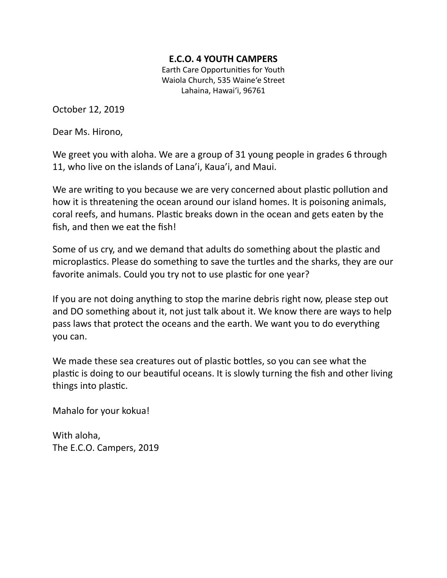## **E.C.O. 4 YOUTH CAMPERS**

Earth Care Opportunities for Youth Waiola Church, 535 Waine'e Street Lahaina, Hawai'i, 96761

October 12, 2019 

Dear Ms. Hirono,

We greet you with aloha. We are a group of 31 young people in grades 6 through 11, who live on the islands of Lana'i, Kaua'i, and Maui.

We are writing to you because we are very concerned about plastic pollution and how it is threatening the ocean around our island homes. It is poisoning animals, coral reefs, and humans. Plastic breaks down in the ocean and gets eaten by the fish, and then we eat the fish!

Some of us cry, and we demand that adults do something about the plastic and microplastics. Please do something to save the turtles and the sharks, they are our favorite animals. Could you try not to use plastic for one year?

If you are not doing anything to stop the marine debris right now, please step out and DO something about it, not just talk about it. We know there are ways to help pass laws that protect the oceans and the earth. We want you to do everything you can.

We made these sea creatures out of plastic bottles, so you can see what the plastic is doing to our beautiful oceans. It is slowly turning the fish and other living things into plastic.

Mahalo for your kokua!

With aloha, The E.C.O. Campers, 2019